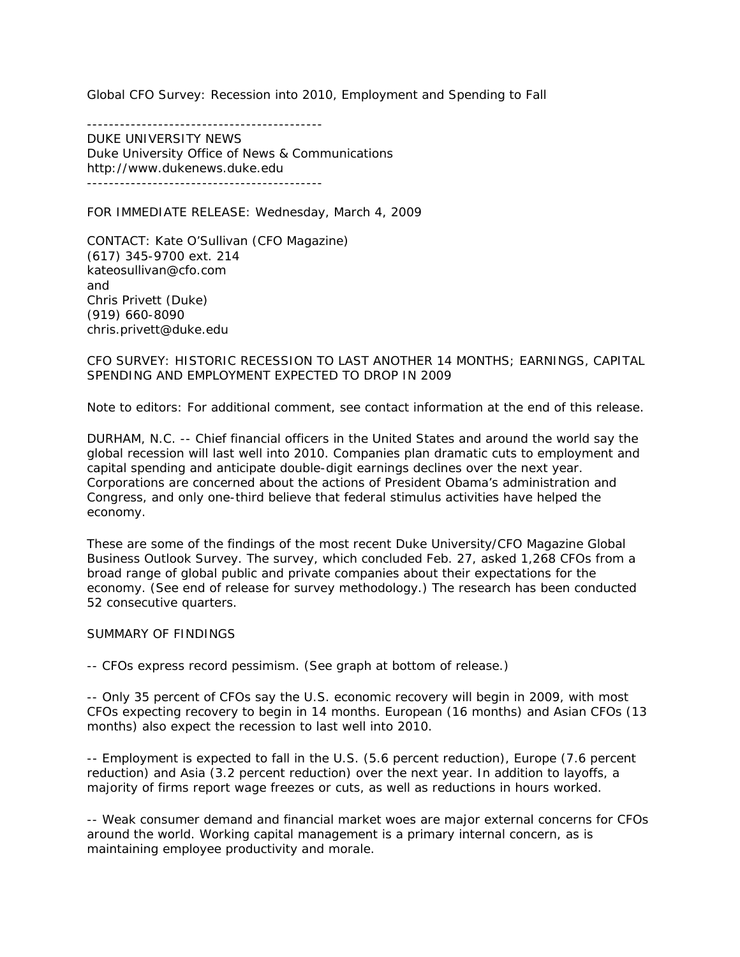Global CFO Survey: Recession into 2010, Employment and Spending to Fall

-------------------------------------------

DUKE UNIVERSITY NEWS Duke University Office of News & Communications http://www.dukenews.duke.edu -------------------------------------------

FOR IMMEDIATE RELEASE: Wednesday, March 4, 2009

CONTACT: Kate O'Sullivan (*CFO* Magazine) (617) 345-9700 ext. 214 kateosullivan@cfo.com and Chris Privett (Duke) (919) 660-8090 chris.privett@duke.edu

CFO SURVEY: HISTORIC RECESSION TO LAST ANOTHER 14 MONTHS; EARNINGS, CAPITAL SPENDING AND EMPLOYMENT EXPECTED TO DROP IN 2009

Note to editors: For additional comment, see contact information at the end of this release.

DURHAM, N.C. -- Chief financial officers in the United States and around the world say the global recession will last well into 2010. Companies plan dramatic cuts to employment and capital spending and anticipate double-digit earnings declines over the next year. Corporations are concerned about the actions of President Obama's administration and Congress, and only one-third believe that federal stimulus activities have helped the economy.

These are some of the findings of the most recent Duke University/CFO Magazine Global Business Outlook Survey. The survey, which concluded Feb. 27, asked 1,268 CFOs from a broad range of global public and private companies about their expectations for the economy. (See end of release for survey methodology.) The research has been conducted 52 consecutive quarters.

#### SUMMARY OF FINDINGS

-- CFOs express record pessimism. (See graph at bottom of release.)

-- Only 35 percent of CFOs say the U.S. economic recovery will begin in 2009, with most CFOs expecting recovery to begin in 14 months. European (16 months) and Asian CFOs (13 months) also expect the recession to last well into 2010.

-- Employment is expected to fall in the U.S. (5.6 percent reduction), Europe (7.6 percent reduction) and Asia (3.2 percent reduction) over the next year. In addition to layoffs, a majority of firms report wage freezes or cuts, as well as reductions in hours worked.

-- Weak consumer demand and financial market woes are major external concerns for CFOs around the world. Working capital management is a primary internal concern, as is maintaining employee productivity and morale.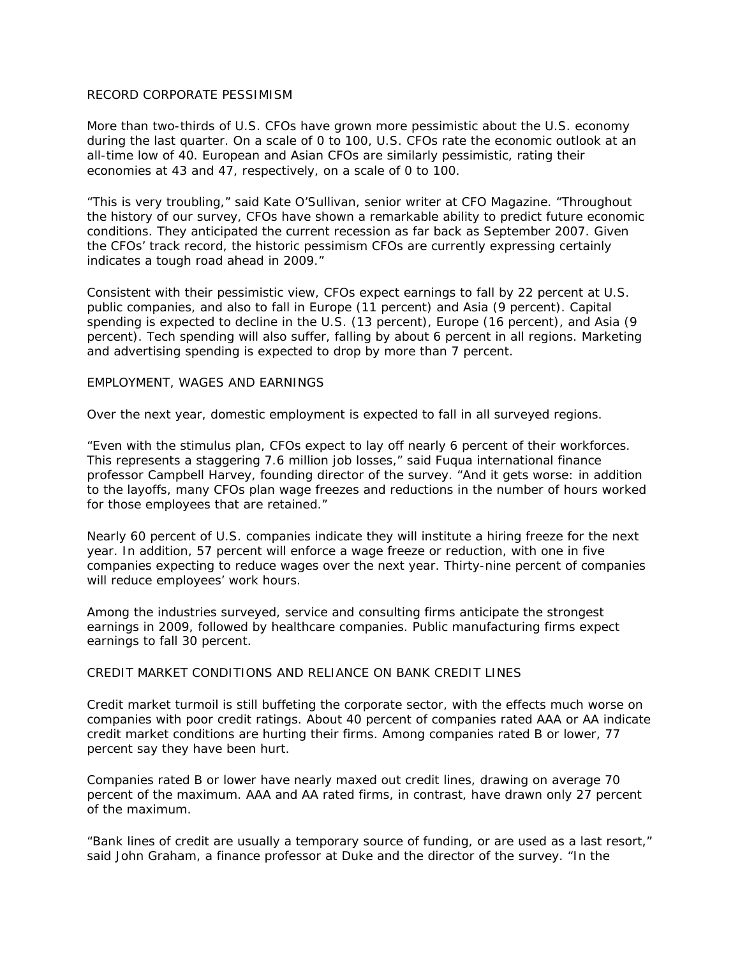## RECORD CORPORATE PESSIMISM

More than two-thirds of U.S. CFOs have grown more pessimistic about the U.S. economy during the last quarter. On a scale of 0 to 100, U.S. CFOs rate the economic outlook at an all-time low of 40. European and Asian CFOs are similarly pessimistic, rating their economies at 43 and 47, respectively, on a scale of 0 to 100.

"This is very troubling," said Kate O'Sullivan, senior writer at CFO Magazine. "Throughout the history of our survey, CFOs have shown a remarkable ability to predict future economic conditions. They anticipated the current recession as far back as September 2007. Given the CFOs' track record, the historic pessimism CFOs are currently expressing certainly indicates a tough road ahead in 2009."

Consistent with their pessimistic view, CFOs expect earnings to fall by 22 percent at U.S. public companies, and also to fall in Europe (11 percent) and Asia (9 percent). Capital spending is expected to decline in the U.S. (13 percent), Europe (16 percent), and Asia (9 percent). Tech spending will also suffer, falling by about 6 percent in all regions. Marketing and advertising spending is expected to drop by more than 7 percent.

#### EMPLOYMENT, WAGES AND EARNINGS

Over the next year, domestic employment is expected to fall in all surveyed regions.

"Even with the stimulus plan, CFOs expect to lay off nearly 6 percent of their workforces. This represents a staggering 7.6 million job losses," said Fuqua international finance professor Campbell Harvey, founding director of the survey. "And it gets worse: in addition to the layoffs, many CFOs plan wage freezes and reductions in the number of hours worked for those employees that are retained."

Nearly 60 percent of U.S. companies indicate they will institute a hiring freeze for the next year. In addition, 57 percent will enforce a wage freeze or reduction, with one in five companies expecting to reduce wages over the next year. Thirty-nine percent of companies will reduce employees' work hours.

Among the industries surveyed, service and consulting firms anticipate the strongest earnings in 2009, followed by healthcare companies. Public manufacturing firms expect earnings to fall 30 percent.

## CREDIT MARKET CONDITIONS AND RELIANCE ON BANK CREDIT LINES

Credit market turmoil is still buffeting the corporate sector, with the effects much worse on companies with poor credit ratings. About 40 percent of companies rated AAA or AA indicate credit market conditions are hurting their firms. Among companies rated B or lower, 77 percent say they have been hurt.

Companies rated B or lower have nearly maxed out credit lines, drawing on average 70 percent of the maximum. AAA and AA rated firms, in contrast, have drawn only 27 percent of the maximum.

"Bank lines of credit are usually a temporary source of funding, or are used as a last resort," said John Graham, a finance professor at Duke and the director of the survey. "In the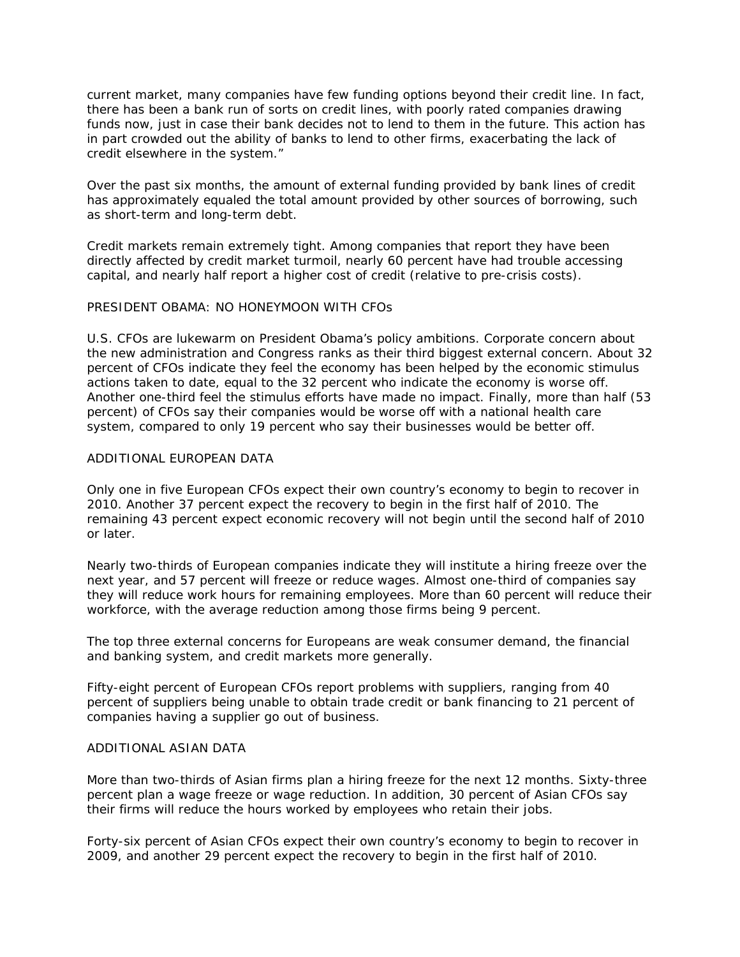current market, many companies have few funding options beyond their credit line. In fact, there has been a bank run of sorts on credit lines, with poorly rated companies drawing funds now, just in case their bank decides not to lend to them in the future. This action has in part crowded out the ability of banks to lend to other firms, exacerbating the lack of credit elsewhere in the system."

Over the past six months, the amount of external funding provided by bank lines of credit has approximately equaled the total amount provided by other sources of borrowing, such as short-term and long-term debt.

Credit markets remain extremely tight. Among companies that report they have been directly affected by credit market turmoil, nearly 60 percent have had trouble accessing capital, and nearly half report a higher cost of credit (relative to pre-crisis costs).

## PRESIDENT OBAMA: NO HONEYMOON WITH CFOs

U.S. CFOs are lukewarm on President Obama's policy ambitions. Corporate concern about the new administration and Congress ranks as their third biggest external concern. About 32 percent of CFOs indicate they feel the economy has been helped by the economic stimulus actions taken to date, equal to the 32 percent who indicate the economy is worse off. Another one-third feel the stimulus efforts have made no impact. Finally, more than half (53 percent) of CFOs say their companies would be worse off with a national health care system, compared to only 19 percent who say their businesses would be better off.

# ADDITIONAL EUROPEAN DATA

Only one in five European CFOs expect their own country's economy to begin to recover in 2010. Another 37 percent expect the recovery to begin in the first half of 2010. The remaining 43 percent expect economic recovery will not begin until the second half of 2010 or later.

Nearly two-thirds of European companies indicate they will institute a hiring freeze over the next year, and 57 percent will freeze or reduce wages. Almost one-third of companies say they will reduce work hours for remaining employees. More than 60 percent will reduce their workforce, with the average reduction among those firms being 9 percent.

The top three external concerns for Europeans are weak consumer demand, the financial and banking system, and credit markets more generally.

Fifty-eight percent of European CFOs report problems with suppliers, ranging from 40 percent of suppliers being unable to obtain trade credit or bank financing to 21 percent of companies having a supplier go out of business.

## ADDITIONAL ASIAN DATA

More than two-thirds of Asian firms plan a hiring freeze for the next 12 months. Sixty-three percent plan a wage freeze or wage reduction. In addition, 30 percent of Asian CFOs say their firms will reduce the hours worked by employees who retain their jobs.

Forty-six percent of Asian CFOs expect their own country's economy to begin to recover in 2009, and another 29 percent expect the recovery to begin in the first half of 2010.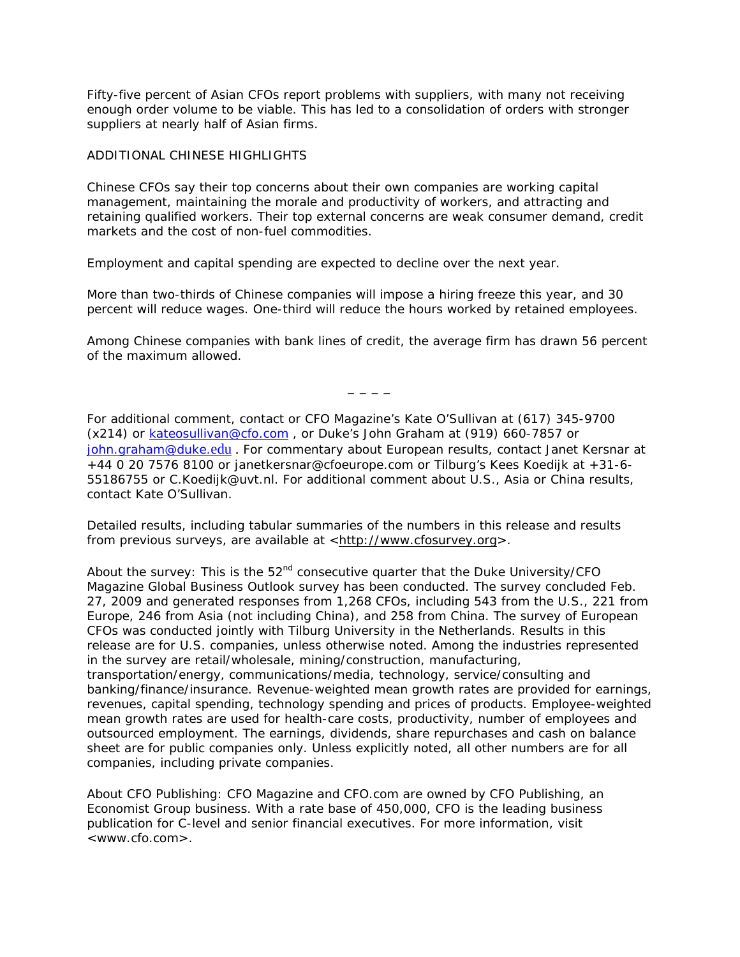Fifty-five percent of Asian CFOs report problems with suppliers, with many not receiving enough order volume to be viable. This has led to a consolidation of orders with stronger suppliers at nearly half of Asian firms.

# ADDITIONAL CHINESE HIGHLIGHTS

Chinese CFOs say their top concerns about their own companies are working capital management, maintaining the morale and productivity of workers, and attracting and retaining qualified workers. Their top external concerns are weak consumer demand, credit markets and the cost of non-fuel commodities.

Employment and capital spending are expected to decline over the next year.

More than two-thirds of Chinese companies will impose a hiring freeze this year, and 30 percent will reduce wages. One-third will reduce the hours worked by retained employees.

Among Chinese companies with bank lines of credit, the average firm has drawn 56 percent of the maximum allowed.

 $-$ 

For additional comment, contact or CFO Magazine's Kate O'Sullivan at (617) 345-9700 (x214) or [kateosullivan@cfo.com](mailto:kateosullivan@cfo.com) , or Duke's John Graham at (919) 660-7857 or [john.graham@duke.](mailto:john.graham@duke.edu)[edu](mailto:john.graham@duke.edu) . For commentary about European results, contact Janet Kersnar at +44 0 20 7576 8100 or [janetkersnar@cfoeurope.com](mailto:janetkersnar@cfoeurope.com) or Tilburg's Kees Koedijk at +31-6- 55186755 or C.Koedijk@uvt.nl. For additional comment about U.S., Asia or China results, contact Kate O'Sullivan.

Detailed results, including tabular summaries of the numbers in this release and results from previous surveys, are available at <[http://www.cfosurvey.org](http://www.cfosurvey.org/)>.

About the survey: This is the  $52<sup>nd</sup>$  consecutive quarter that the Duke University/CFO Magazine Global Business Outlook survey has been conducted. The survey concluded Feb. 27, 2009 and generated responses from 1,268 CFOs, including 543 from the U.S., 221 from Europe, 246 from Asia (not including China), and 258 from China. The survey of European CFOs was conducted jointly with Tilburg University in the Netherlands. Results in this release are for U.S. companies, unless otherwise noted. Among the industries represented in the survey are retail/wholesale, mining/construction, manufacturing, transportation/energy, communications/media, technology, service/consulting and banking/finance/insurance. Revenue-weighted mean growth rates are provided for earnings, revenues, capital spending, technology spending and prices of products. Employee-weighted mean growth rates are used for health-care costs, productivity, number of employees and outsourced employment. The earnings, dividends, share repurchases and cash on balance sheet are for public companies only. Unless explicitly noted, all other numbers are for all companies, including private companies.

About CFO Publishing: CFO Magazine and CFO.com are owned by CFO Publishing, an Economist Group business. With a rate base of 450,000, CFO is the leading business publication for C-level and senior financial executives. For more information, visit <www.cfo.com>.